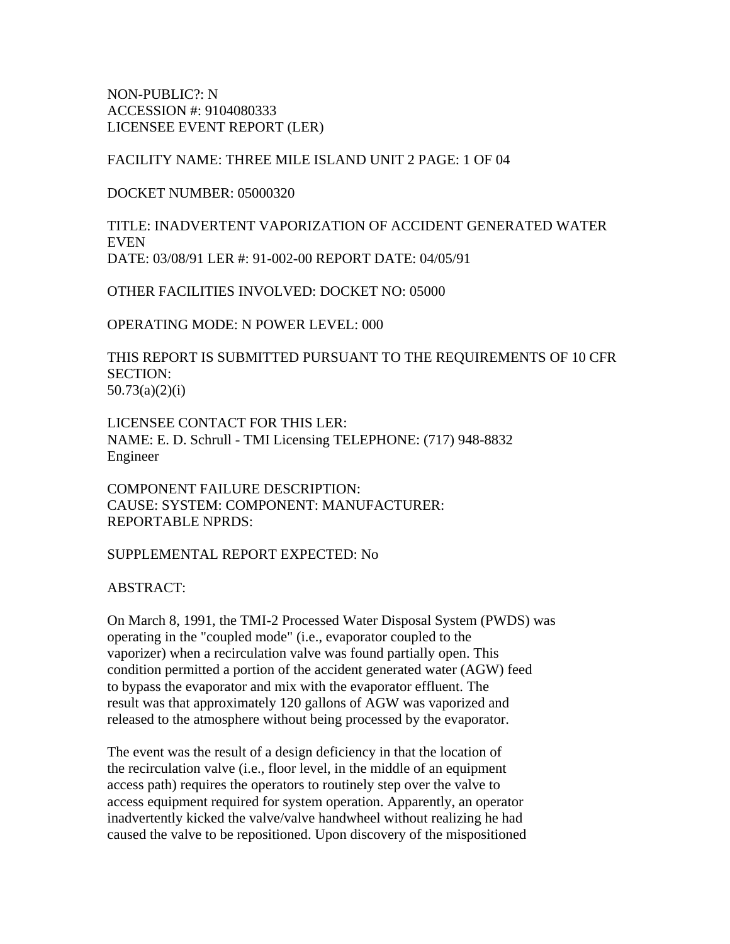NON-PUBLIC?: N ACCESSION #: 9104080333 LICENSEE EVENT REPORT (LER)

FACILITY NAME: THREE MILE ISLAND UNIT 2 PAGE: 1 OF 04

DOCKET NUMBER: 05000320

TITLE: INADVERTENT VAPORIZATION OF ACCIDENT GENERATED WATER **EVEN** DATE: 03/08/91 LER #: 91-002-00 REPORT DATE: 04/05/91

OTHER FACILITIES INVOLVED: DOCKET NO: 05000

OPERATING MODE: N POWER LEVEL: 000

THIS REPORT IS SUBMITTED PURSUANT TO THE REQUIREMENTS OF 10 CFR SECTION: 50.73(a)(2)(i)

LICENSEE CONTACT FOR THIS LER: NAME: E. D. Schrull - TMI Licensing TELEPHONE: (717) 948-8832 Engineer

COMPONENT FAILURE DESCRIPTION: CAUSE: SYSTEM: COMPONENT: MANUFACTURER: REPORTABLE NPRDS:

SUPPLEMENTAL REPORT EXPECTED: No

ABSTRACT:

On March 8, 1991, the TMI-2 Processed Water Disposal System (PWDS) was operating in the "coupled mode" (i.e., evaporator coupled to the vaporizer) when a recirculation valve was found partially open. This condition permitted a portion of the accident generated water (AGW) feed to bypass the evaporator and mix with the evaporator effluent. The result was that approximately 120 gallons of AGW was vaporized and released to the atmosphere without being processed by the evaporator.

The event was the result of a design deficiency in that the location of the recirculation valve (i.e., floor level, in the middle of an equipment access path) requires the operators to routinely step over the valve to access equipment required for system operation. Apparently, an operator inadvertently kicked the valve/valve handwheel without realizing he had caused the valve to be repositioned. Upon discovery of the mispositioned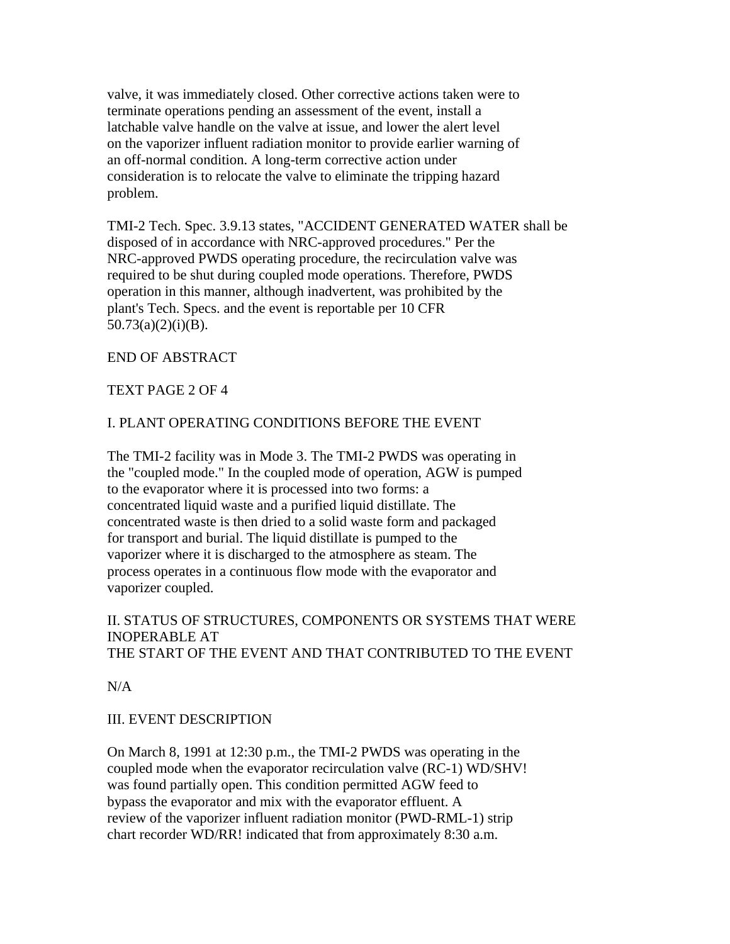valve, it was immediately closed. Other corrective actions taken were to terminate operations pending an assessment of the event, install a latchable valve handle on the valve at issue, and lower the alert level on the vaporizer influent radiation monitor to provide earlier warning of an off-normal condition. A long-term corrective action under consideration is to relocate the valve to eliminate the tripping hazard problem.

TMI-2 Tech. Spec. 3.9.13 states, "ACCIDENT GENERATED WATER shall be disposed of in accordance with NRC-approved procedures." Per the NRC-approved PWDS operating procedure, the recirculation valve was required to be shut during coupled mode operations. Therefore, PWDS operation in this manner, although inadvertent, was prohibited by the plant's Tech. Specs. and the event is reportable per 10 CFR  $50.73(a)(2)(i)(B)$ .

## END OF ABSTRACT

## TEXT PAGE 2 OF 4

## I. PLANT OPERATING CONDITIONS BEFORE THE EVENT

The TMI-2 facility was in Mode 3. The TMI-2 PWDS was operating in the "coupled mode." In the coupled mode of operation, AGW is pumped to the evaporator where it is processed into two forms: a concentrated liquid waste and a purified liquid distillate. The concentrated waste is then dried to a solid waste form and packaged for transport and burial. The liquid distillate is pumped to the vaporizer where it is discharged to the atmosphere as steam. The process operates in a continuous flow mode with the evaporator and vaporizer coupled.

## II. STATUS OF STRUCTURES, COMPONENTS OR SYSTEMS THAT WERE INOPERABLE AT THE START OF THE EVENT AND THAT CONTRIBUTED TO THE EVENT

 $N/A$ 

## III. EVENT DESCRIPTION

On March 8, 1991 at 12:30 p.m., the TMI-2 PWDS was operating in the coupled mode when the evaporator recirculation valve (RC-1) WD/SHV! was found partially open. This condition permitted AGW feed to bypass the evaporator and mix with the evaporator effluent. A review of the vaporizer influent radiation monitor (PWD-RML-1) strip chart recorder WD/RR! indicated that from approximately 8:30 a.m.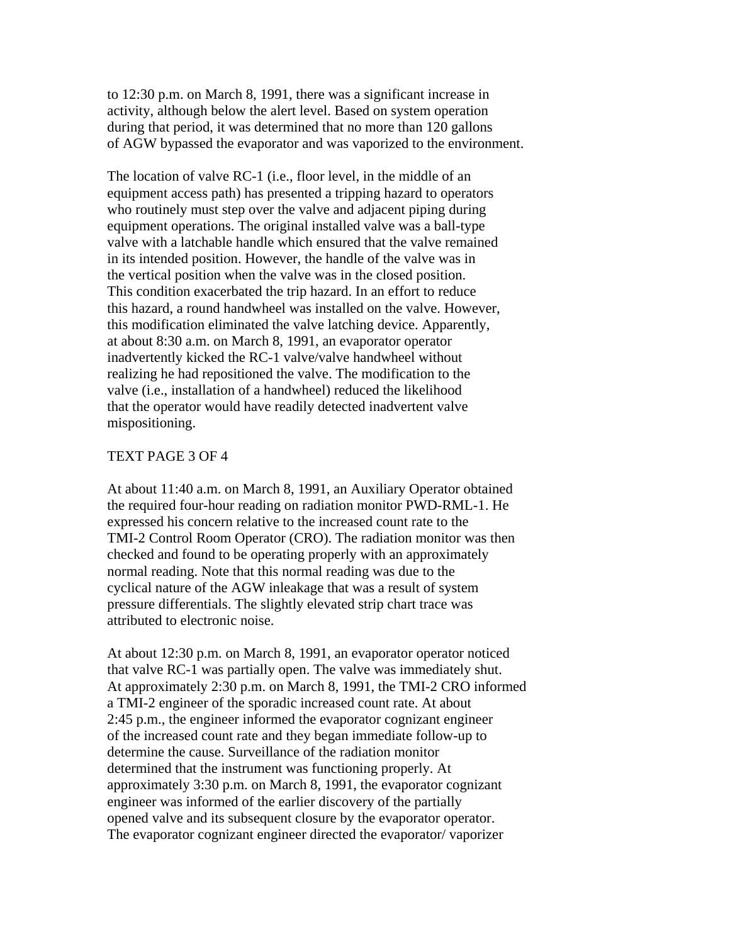to 12:30 p.m. on March 8, 1991, there was a significant increase in activity, although below the alert level. Based on system operation during that period, it was determined that no more than 120 gallons of AGW bypassed the evaporator and was vaporized to the environment.

The location of valve RC-1 (i.e., floor level, in the middle of an equipment access path) has presented a tripping hazard to operators who routinely must step over the valve and adjacent piping during equipment operations. The original installed valve was a ball-type valve with a latchable handle which ensured that the valve remained in its intended position. However, the handle of the valve was in the vertical position when the valve was in the closed position. This condition exacerbated the trip hazard. In an effort to reduce this hazard, a round handwheel was installed on the valve. However, this modification eliminated the valve latching device. Apparently, at about 8:30 a.m. on March 8, 1991, an evaporator operator inadvertently kicked the RC-1 valve/valve handwheel without realizing he had repositioned the valve. The modification to the valve (i.e., installation of a handwheel) reduced the likelihood that the operator would have readily detected inadvertent valve mispositioning.

#### TEXT PAGE 3 OF 4

At about 11:40 a.m. on March 8, 1991, an Auxiliary Operator obtained the required four-hour reading on radiation monitor PWD-RML-1. He expressed his concern relative to the increased count rate to the TMI-2 Control Room Operator (CRO). The radiation monitor was then checked and found to be operating properly with an approximately normal reading. Note that this normal reading was due to the cyclical nature of the AGW inleakage that was a result of system pressure differentials. The slightly elevated strip chart trace was attributed to electronic noise.

At about 12:30 p.m. on March 8, 1991, an evaporator operator noticed that valve RC-1 was partially open. The valve was immediately shut. At approximately 2:30 p.m. on March 8, 1991, the TMI-2 CRO informed a TMI-2 engineer of the sporadic increased count rate. At about 2:45 p.m., the engineer informed the evaporator cognizant engineer of the increased count rate and they began immediate follow-up to determine the cause. Surveillance of the radiation monitor determined that the instrument was functioning properly. At approximately 3:30 p.m. on March 8, 1991, the evaporator cognizant engineer was informed of the earlier discovery of the partially opened valve and its subsequent closure by the evaporator operator. The evaporator cognizant engineer directed the evaporator/ vaporizer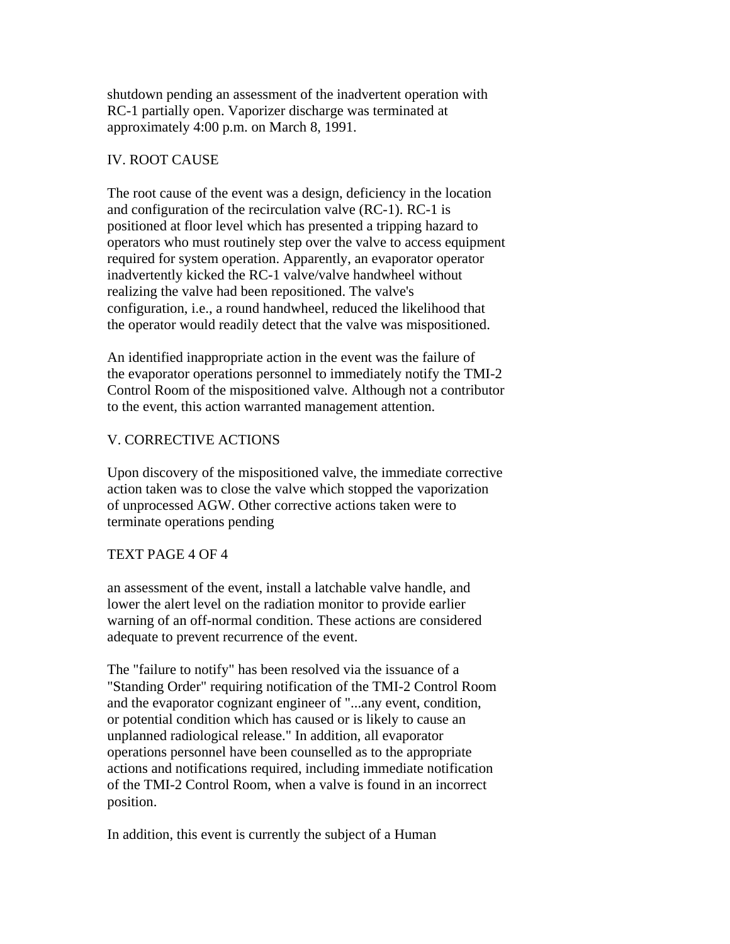shutdown pending an assessment of the inadvertent operation with RC-1 partially open. Vaporizer discharge was terminated at approximately 4:00 p.m. on March 8, 1991.

# IV. ROOT CAUSE

The root cause of the event was a design, deficiency in the location and configuration of the recirculation valve (RC-1). RC-1 is positioned at floor level which has presented a tripping hazard to operators who must routinely step over the valve to access equipment required for system operation. Apparently, an evaporator operator inadvertently kicked the RC-1 valve/valve handwheel without realizing the valve had been repositioned. The valve's configuration, i.e., a round handwheel, reduced the likelihood that the operator would readily detect that the valve was mispositioned.

An identified inappropriate action in the event was the failure of the evaporator operations personnel to immediately notify the TMI-2 Control Room of the mispositioned valve. Although not a contributor to the event, this action warranted management attention.

# V. CORRECTIVE ACTIONS

Upon discovery of the mispositioned valve, the immediate corrective action taken was to close the valve which stopped the vaporization of unprocessed AGW. Other corrective actions taken were to terminate operations pending

# TEXT PAGE 4 OF 4

an assessment of the event, install a latchable valve handle, and lower the alert level on the radiation monitor to provide earlier warning of an off-normal condition. These actions are considered adequate to prevent recurrence of the event.

The "failure to notify" has been resolved via the issuance of a "Standing Order" requiring notification of the TMI-2 Control Room and the evaporator cognizant engineer of "...any event, condition, or potential condition which has caused or is likely to cause an unplanned radiological release." In addition, all evaporator operations personnel have been counselled as to the appropriate actions and notifications required, including immediate notification of the TMI-2 Control Room, when a valve is found in an incorrect position.

In addition, this event is currently the subject of a Human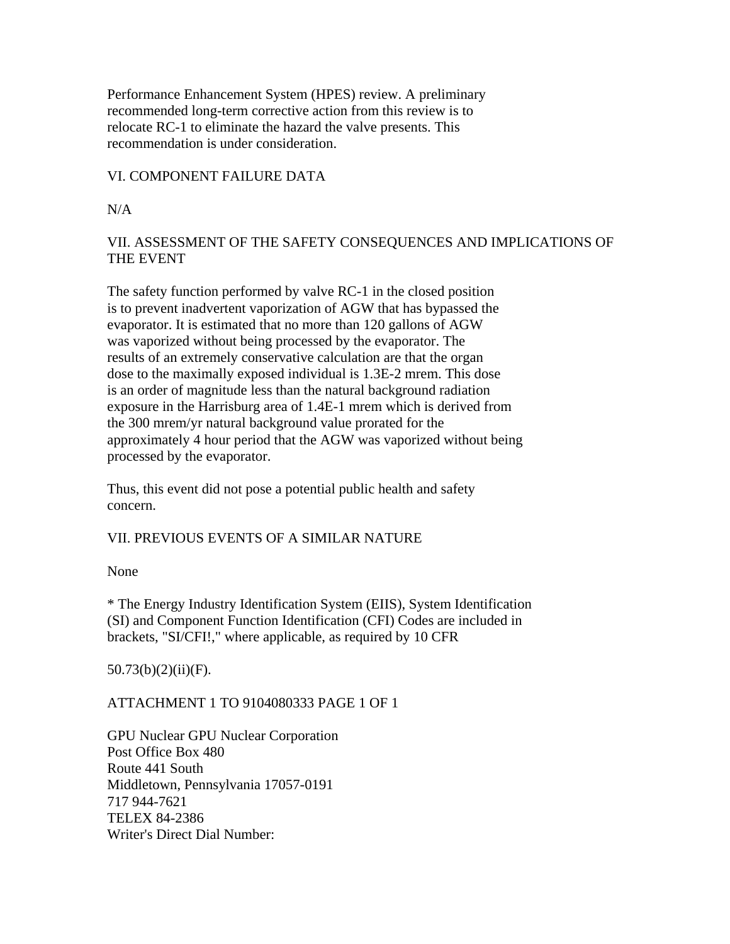Performance Enhancement System (HPES) review. A preliminary recommended long-term corrective action from this review is to relocate RC-1 to eliminate the hazard the valve presents. This recommendation is under consideration.

## VI. COMPONENT FAILURE DATA

N/A

# VII. ASSESSMENT OF THE SAFETY CONSEQUENCES AND IMPLICATIONS OF THE EVENT

The safety function performed by valve RC-1 in the closed position is to prevent inadvertent vaporization of AGW that has bypassed the evaporator. It is estimated that no more than 120 gallons of AGW was vaporized without being processed by the evaporator. The results of an extremely conservative calculation are that the organ dose to the maximally exposed individual is 1.3E-2 mrem. This dose is an order of magnitude less than the natural background radiation exposure in the Harrisburg area of 1.4E-1 mrem which is derived from the 300 mrem/yr natural background value prorated for the approximately 4 hour period that the AGW was vaporized without being processed by the evaporator.

Thus, this event did not pose a potential public health and safety concern.

# VII. PREVIOUS EVENTS OF A SIMILAR NATURE

None

\* The Energy Industry Identification System (EIIS), System Identification (SI) and Component Function Identification (CFI) Codes are included in brackets, "SI/CFI!," where applicable, as required by 10 CFR

 $50.73(b)(2)(ii)(F).$ 

# ATTACHMENT 1 TO 9104080333 PAGE 1 OF 1

GPU Nuclear GPU Nuclear Corporation Post Office Box 480 Route 441 South Middletown, Pennsylvania 17057-0191 717 944-7621 TELEX 84-2386 Writer's Direct Dial Number: